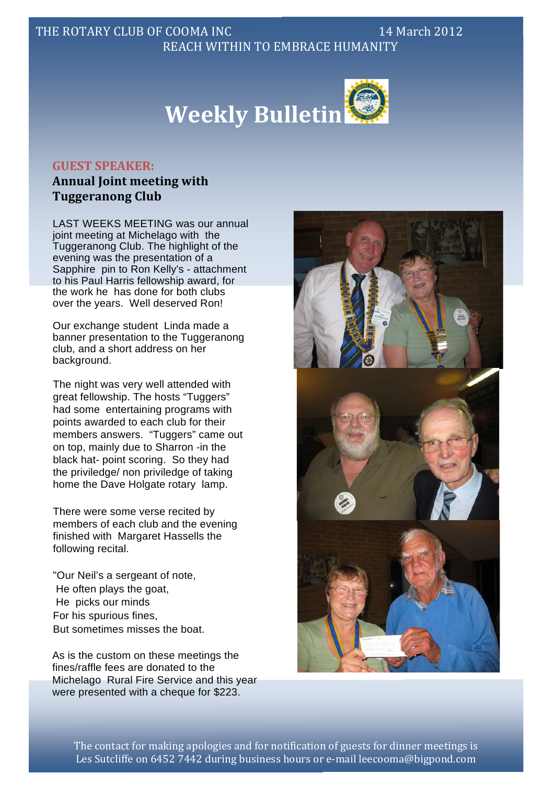### THE ROTARY CLUB OF COOMA INC 14 March 2012 REACH WITHIN TO EMBRACE HUMANITY



#### **GUEST SPEAKER:**

### **Annual Joint meeting with Tuggeranong Club**

LAST WEEKS MEETING was our annual joint meeting at Michelago with the Tuggeranong Club. The highlight of the evening was the presentation of a Sapphire pin to Ron Kelly's - attachment to his Paul Harris fellowship award, for the work he has done for both clubs over the years. Well deserved Ron!

Our exchange student Linda made a banner presentation to the Tuggeranong club, and a short address on her background.

The night was very well attended with great fellowship. The hosts "Tuggers" had some entertaining programs with points awarded to each club for their members answers. "Tuggers" came out on top, mainly due to Sharron -in the black hat- point scoring. So they had the priviledge/ non priviledge of taking home the Dave Holgate rotary lamp.

There were some verse recited by members of each club and the evening finished with Margaret Hassells the following recital.

"Our Neil's a sergeant of note, He often plays the goat, He picks our minds For his spurious fines, But sometimes misses the boat.

As is the custom on these meetings the fines/raffle fees are donated to the Michelago Rural Fire Service and this year were presented with a cheque for \$223.

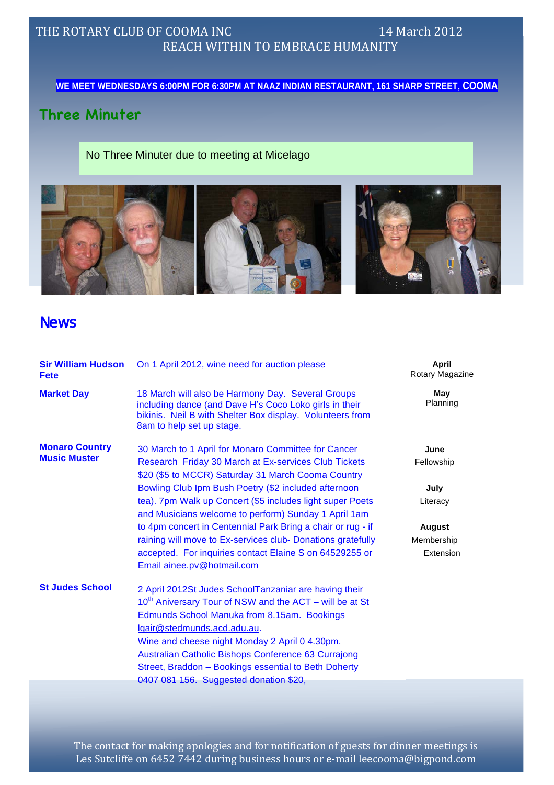## THE ROTARY CLUB OF COOMA INC 14 March 2012 REACH WITHIN TO EMBRACE HUMANITY

**WE MEET WEDNESDAYS 6:00PM FOR 6:30PM AT NAAZ INDIAN RESTAURANT, 161 SHARP STREET, COOMA**

# **Three Minuter**

**)**  No Three Minuter due to meeting at Micelago



## News

| <b>Sir William Hudson</b><br><b>Fete</b>     | On 1 April 2012, wine need for auction please                                                                                                                                                                                                                                                                                                                               | <b>April</b><br>Rotary Magazine   |
|----------------------------------------------|-----------------------------------------------------------------------------------------------------------------------------------------------------------------------------------------------------------------------------------------------------------------------------------------------------------------------------------------------------------------------------|-----------------------------------|
| <b>Market Day</b>                            | 18 March will also be Harmony Day. Several Groups<br>including dance (and Dave H's Coco Loko girls in their<br>bikinis. Neil B with Shelter Box display. Volunteers from<br>8am to help set up stage.                                                                                                                                                                       | May<br>Planning                   |
| <b>Monaro Country</b><br><b>Music Muster</b> | 30 March to 1 April for Monaro Committee for Cancer<br>Research Friday 30 March at Ex-services Club Tickets<br>\$20 (\$5 to MCCR) Saturday 31 March Cooma Country                                                                                                                                                                                                           | June<br>Fellowship                |
|                                              | Bowling Club Ipm Bush Poetry (\$2 included afternoon<br>tea). 7pm Walk up Concert (\$5 includes light super Poets<br>and Musicians welcome to perform) Sunday 1 April 1am                                                                                                                                                                                                   | July<br>Literacy                  |
|                                              | to 4pm concert in Centennial Park Bring a chair or rug - if<br>raining will move to Ex-services club- Donations gratefully<br>accepted. For inquiries contact Elaine S on 64529255 or<br>Email ainee.pv@hotmail.com                                                                                                                                                         | August<br>Membership<br>Extension |
| <b>St Judes School</b>                       | 2 April 2012St Judes SchoolTanzaniar are having their<br>10 <sup>th</sup> Aniversary Tour of NSW and the ACT - will be at St<br>Edmunds School Manuka from 8.15am. Bookings<br>lgair@stedmunds.acd.adu.au.<br>Wine and cheese night Monday 2 April 0 4.30pm.<br>Australian Catholic Bishops Conference 63 Currajong<br>Street, Braddon - Bookings essential to Beth Doherty |                                   |
|                                              | 0407 081 156. Suggested donation \$20,                                                                                                                                                                                                                                                                                                                                      |                                   |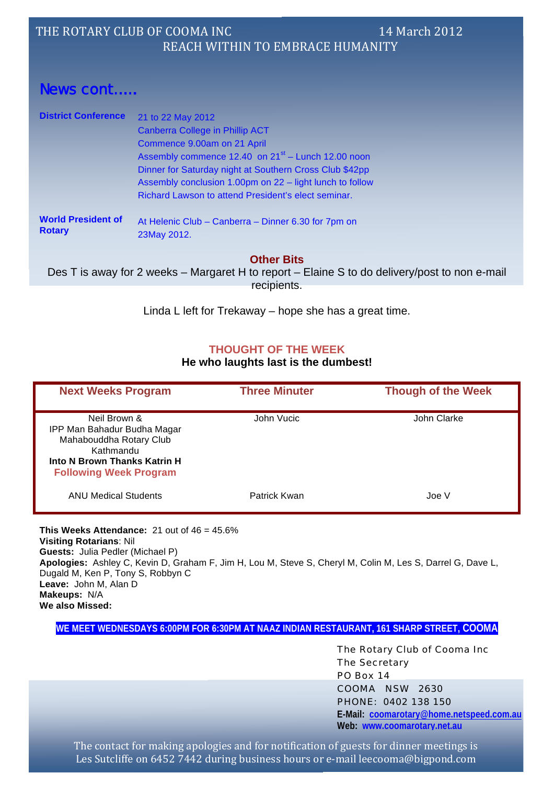## News cont…….

| <b>District Conference</b> | 21 to 22 May 2012<br><b>Canberra College in Phillip ACT</b><br>Commence 9.00am on 21 April<br>Assembly commence 12.40 on 21 <sup>st</sup> – Lunch 12.00 noon<br>Dinner for Saturday night at Southern Cross Club \$42pp<br>Assembly conclusion 1.00pm on 22 - light lunch to follow<br>Richard Lawson to attend President's elect seminar. |
|----------------------------|--------------------------------------------------------------------------------------------------------------------------------------------------------------------------------------------------------------------------------------------------------------------------------------------------------------------------------------------|
| <b>World President of</b>  | At Helenic Club - Canberra - Dinner 6.30 for 7pm on                                                                                                                                                                                                                                                                                        |
| <b>Rotary</b>              | 23May 2012.                                                                                                                                                                                                                                                                                                                                |

#### **Other Bits**

Des T is away for 2 weeks – Margaret H to report – Elaine S to do delivery/post to non e-mail recipients.

Linda L left for Trekaway – hope she has a great time.

#### **THOUGHT OF THE WEEK**

#### **He who laughts last is the dumbest!**

| <b>Next Weeks Program</b>                                                                                                                            | <b>Three Minuter</b> | <b>Though of the Week</b> |
|------------------------------------------------------------------------------------------------------------------------------------------------------|----------------------|---------------------------|
| Neil Brown &<br>IPP Man Bahadur Budha Magar<br>Mahabouddha Rotary Club<br>Kathmandu<br>Into N Brown Thanks Katrin H<br><b>Following Week Program</b> | John Vucic           | John Clarke               |
| <b>ANU Medical Students</b>                                                                                                                          | Patrick Kwan         | Joe V                     |

**This Weeks Attendance:** 21 out of 46 = 45.6% **Visiting Rotarians**: Nil **Guests:** Julia Pedler (Michael P) **Apologies:** Ashley C, Kevin D, Graham F, Jim H, Lou M, Steve S, Cheryl M, Colin M, Les S, Darrel G, Dave L, Dugald M, Ken P, Tony S, Robbyn C **Leave:** John M, Alan D **Makeups:** N/A **We also Missed:**

**WE MEET WEDNESDAYS 6:00PM FOR 6:30PM AT NAAZ INDIAN RESTAURANT, 161 SHARP STREET, COOMA**

The Rotary Club of Cooma Inc The Secretary PO Box 14 COOMA NSW 2630 PHONE: 0402 138 150 **E-Mail: coomarotary@home.netspeed.com.au Web: www.coomarotary.net.au**